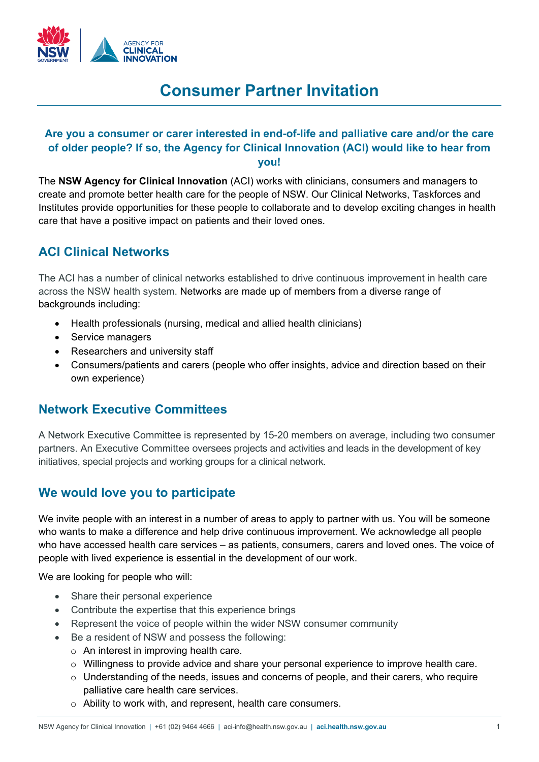

# **Consumer Partner Invitation**

#### **Are you a consumer or carer interested in end-of-life and palliative care and/or the care of older people? If so, the Agency for Clinical Innovation (ACI) would like to hear from you!**

The **NSW Agency for Clinical Innovation** (ACI) works with clinicians, consumers and managers to create and promote better health care for the people of NSW. Our Clinical Networks, Taskforces and Institutes provide opportunities for these people to collaborate and to develop exciting changes in health care that have a positive impact on patients and their loved ones.

# **ACI Clinical Networks**

The ACI has a number of clinical networks established to drive continuous improvement in health care across the NSW health system. Networks are made up of members from a diverse range of backgrounds including:

- Health professionals (nursing, medical and allied health clinicians)
- Service managers
- Researchers and university staff
- Consumers/patients and carers (people who offer insights, advice and direction based on their own experience)

## **Network Executive Committees**

A Network Executive Committee is represented by 15-20 members on average, including two consumer partners. An Executive Committee oversees projects and activities and leads in the development of key initiatives, special projects and working groups for a clinical network.

## **We would love you to participate**

We invite people with an interest in a number of areas to apply to partner with us. You will be someone who wants to make a difference and help drive continuous improvement. We acknowledge all people who have accessed health care services – as patients, consumers, carers and loved ones. The voice of people with lived experience is essential in the development of our work.

We are looking for people who will:

- Share their personal experience
- Contribute the expertise that this experience brings
- Represent the voice of people within the wider NSW consumer community
- Be a resident of NSW and possess the following:
	- $\circ$  An interest in improving health care.
	- o Willingness to provide advice and share your personal experience to improve health care.
	- o Understanding of the needs, issues and concerns of people, and their carers, who require palliative care health care services.
	- o Ability to work with, and represent, health care consumers.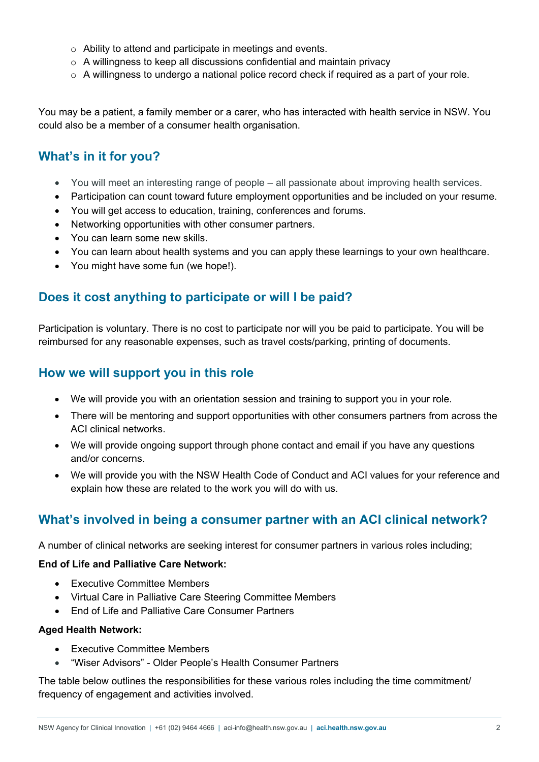- o Ability to attend and participate in meetings and events.
- o A willingness to keep all discussions confidential and maintain privacy
- $\circ$  A willingness to undergo a national police record check if required as a part of your role.

You may be a patient, a family member or a carer, who has interacted with health service in NSW. You could also be a member of a consumer health organisation.

## **What's in it for you?**

- You will meet an interesting range of people all passionate about improving health services.
- Participation can count toward future employment opportunities and be included on your resume.
- You will get access to education, training, conferences and forums.
- Networking opportunities with other consumer partners.
- You can learn some new skills.
- You can learn about health systems and you can apply these learnings to your own healthcare.
- You might have some fun (we hope!).

#### **Does it cost anything to participate or will I be paid?**

Participation is voluntary. There is no cost to participate nor will you be paid to participate. You will be reimbursed for any reasonable expenses, such as travel costs/parking, printing of documents.

#### **How we will support you in this role**

- We will provide you with an orientation session and training to support you in your role.
- There will be mentoring and support opportunities with other consumers partners from across the ACI clinical networks.
- We will provide ongoing support through phone contact and email if you have any questions and/or concerns.
- We will provide you with the NSW Health Code of Conduct and ACI values for your reference and explain how these are related to the work you will do with us.

## **What's involved in being a consumer partner with an ACI clinical network?**

A number of clinical networks are seeking interest for consumer partners in various roles including;

#### **End of Life and Palliative Care Network:**

- Executive Committee Members
- Virtual Care in Palliative Care Steering Committee Members
- End of Life and Palliative Care Consumer Partners

#### **Aged Health Network:**

- Executive Committee Members
- "Wiser Advisors" Older People's Health Consumer Partners

The table below outlines the responsibilities for these various roles including the time commitment/ frequency of engagement and activities involved.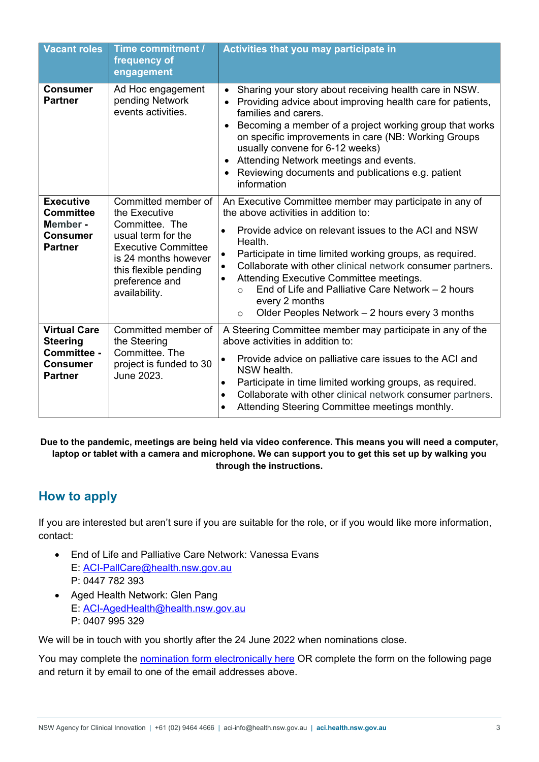| <b>Vacant roles</b>                                                                        | Time commitment /<br>frequency of<br>engagement                                                                                                                                                | <b>Activities that you may participate in</b>                                                                                                                                                                                                                                                                                                                                                                                                                                                                                                 |
|--------------------------------------------------------------------------------------------|------------------------------------------------------------------------------------------------------------------------------------------------------------------------------------------------|-----------------------------------------------------------------------------------------------------------------------------------------------------------------------------------------------------------------------------------------------------------------------------------------------------------------------------------------------------------------------------------------------------------------------------------------------------------------------------------------------------------------------------------------------|
| <b>Consumer</b><br><b>Partner</b>                                                          | Ad Hoc engagement<br>pending Network<br>events activities.                                                                                                                                     | Sharing your story about receiving health care in NSW.<br>$\bullet$<br>Providing advice about improving health care for patients,<br>$\bullet$<br>families and carers.<br>Becoming a member of a project working group that works<br>$\bullet$<br>on specific improvements in care (NB: Working Groups<br>usually convene for 6-12 weeks)<br>Attending Network meetings and events.<br>$\bullet$<br>Reviewing documents and publications e.g. patient<br>$\bullet$<br>information                                                             |
| <b>Executive</b><br><b>Committee</b><br>Member -<br><b>Consumer</b><br><b>Partner</b>      | Committed member of<br>the Executive<br>Committee. The<br>usual term for the<br><b>Executive Committee</b><br>is 24 months however<br>this flexible pending<br>preference and<br>availability. | An Executive Committee member may participate in any of<br>the above activities in addition to:<br>Provide advice on relevant issues to the ACI and NSW<br>$\bullet$<br>Health.<br>Participate in time limited working groups, as required.<br>$\bullet$<br>Collaborate with other clinical network consumer partners.<br>$\bullet$<br>Attending Executive Committee meetings.<br>$\bullet$<br>End of Life and Palliative Care Network - 2 hours<br>$\bigcirc$<br>every 2 months<br>Older Peoples Network – 2 hours every 3 months<br>$\circ$ |
| <b>Virtual Care</b><br><b>Steering</b><br>Committee -<br><b>Consumer</b><br><b>Partner</b> | Committed member of<br>the Steering<br>Committee. The<br>project is funded to 30<br>June 2023.                                                                                                 | A Steering Committee member may participate in any of the<br>above activities in addition to:<br>Provide advice on palliative care issues to the ACI and<br>$\bullet$<br>NSW health.<br>Participate in time limited working groups, as required.<br>$\bullet$<br>Collaborate with other clinical network consumer partners.<br>$\bullet$<br>Attending Steering Committee meetings monthly.<br>$\bullet$                                                                                                                                       |

#### **Due to the pandemic, meetings are being held via video conference. This means you will need a computer, laptop or tablet with a camera and microphone. We can support you to get this set up by walking you through the instructions.**

# **How to apply**

If you are interested but aren't sure if you are suitable for the role, or if you would like more information, contact:

- End of Life and Palliative Care Network: Vanessa Evans E: [ACI-PallCare@health.nsw.gov.au](mailto:ACI-PallCare@health.nsw.gov.au)  P: 0447 782 393
- Aged Health Network: Glen Pang E: [ACI-AgedHealth@health.nsw.gov.au](mailto:ACI-AgedHealth@health.nsw.gov.au)  P: 0407 995 329

We will be in touch with you shortly after the 24 June 2022 when nominations close.

You may complete the [nomination form electronically here](https://forms.office.com/Pages/ResponsePage.aspx?id=v6eHptsC30O8u-eovaYRorGm7PltSUNOgHBvyo1_Vf5UQ0ROOFRIR0lEWDRLSkQ4UUg3VlY5WEw2Ty4u) OR complete the form on the following page and return it by email to one of the email addresses above.